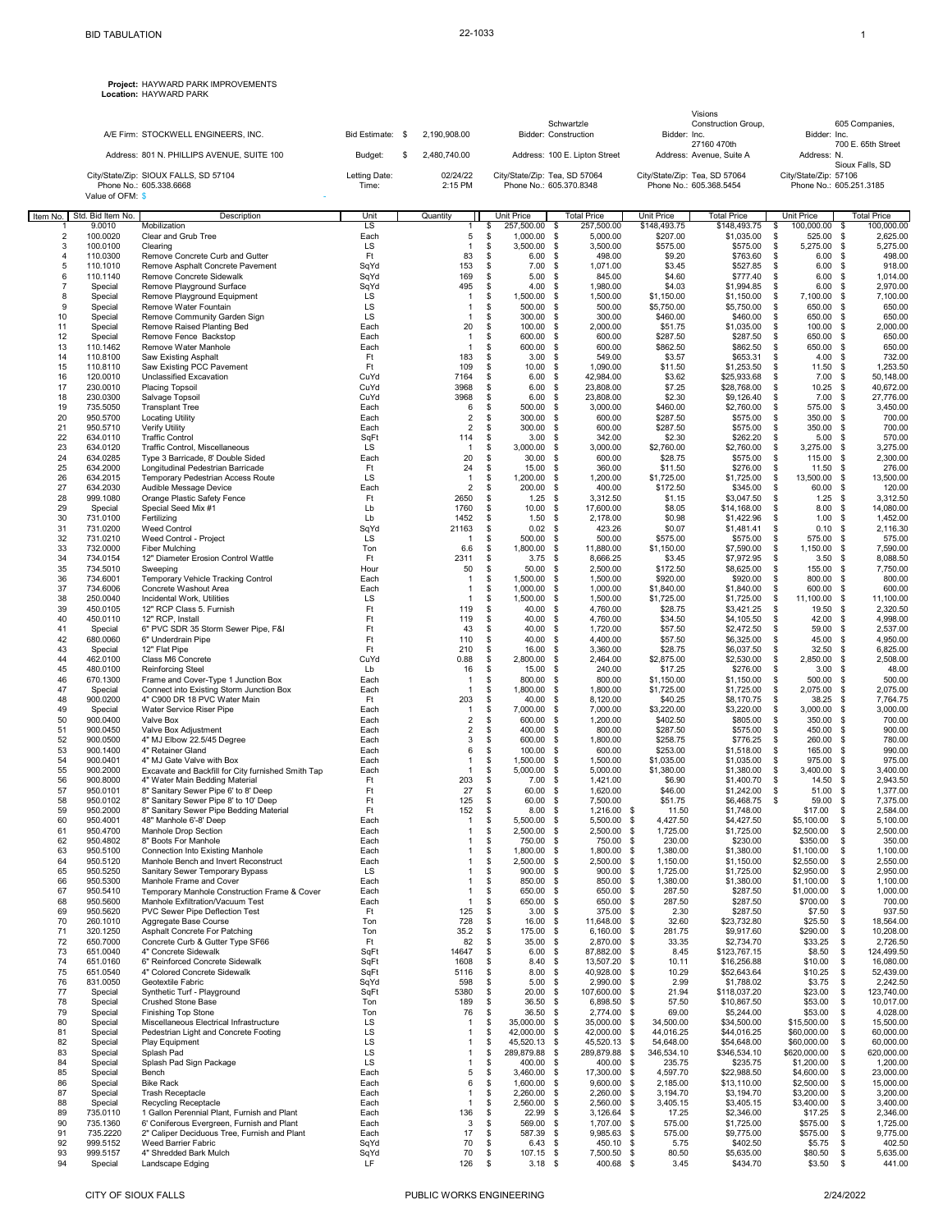**Project:** HAYWARD PARK IMPROVEMENTS **Location:** HAYWARD PARK

|                     |                            | A/E Firm: STOCKWELL ENGINEERS, INC.                                      | Bid Estimate: \$ | 2,190,908.00                   | Schwartzle<br>Bidder: Construction |                                             | Visions<br>Construction Group,<br>Bidder: Inc. |                                         | 605 Companies,<br>Bidder: Inc.             |                                     |  |
|---------------------|----------------------------|--------------------------------------------------------------------------|------------------|--------------------------------|------------------------------------|---------------------------------------------|------------------------------------------------|-----------------------------------------|--------------------------------------------|-------------------------------------|--|
|                     |                            | Address: 801 N. PHILLIPS AVENUE, SUITE 100                               | Budget:<br>\$    | 2,480,740.00                   |                                    | Address: 100 E. Lipton Street               |                                                | 27160 470th<br>Address: Avenue, Suite A | Address: N.                                | 700 E. 65th Street                  |  |
|                     |                            | City/State/Zip: SIOUX FALLS, SD 57104                                    | Letting Date:    | 02/24/22                       | City/State/Zip: Tea, SD 57064      |                                             | City/State/Zip: Tea, SD 57064                  |                                         | City/State/Zip: 57106                      | Sioux Falls, SD                     |  |
|                     | Value of OFM: \$           | Phone No.: 605.338.6668                                                  | Time:            | 2:15 PM                        |                                    | Phone No.: 605.370.8348                     |                                                | Phone No.: 605.368.5454                 |                                            | Phone No.: 605.251.3185             |  |
|                     | Item No. Std. Bid Item No. | Description                                                              | Unit             | Quantity                       | Unit Price                         | <b>Total Price</b>                          | Unit Price                                     | <b>Total Price</b>                      | Unit Price                                 | <b>Total Price</b>                  |  |
| $\overline{1}$<br>2 | 9.0010<br>100.0020         | Mobilization<br>Clear and Grub Tree                                      | LS<br>Each       | 1<br>5                         | 257,500.00<br>\$<br>\$<br>1,000.00 | 257,500.00<br>- \$<br>- \$<br>5,000.00      | \$148,493.75<br>\$207.00                       | \$148,493.75<br>\$1,035.00              | 100,000.00<br>\$<br>$\mathbb{S}$<br>525.00 | 100,000.00<br>\$<br>\$<br>2,625.00  |  |
| 3<br>$\overline{4}$ | 100.0100<br>110.0300       | Clearing<br>Remove Concrete Curb and Gutter                              | LS<br>Ft         | $\overline{1}$<br>83           | \$<br>3,500.00<br>\$<br>6.00       | -\$<br>3,500.00<br>- \$<br>498.00           | \$575.00<br>\$9.20                             | \$575.00<br>\$763.60                    | \$<br>5,275.00<br>\$<br>6.00               | \$<br>5,275.00<br>-\$<br>498.00     |  |
| 5                   | 110.1010                   | Remove Asphalt Concrete Pavement                                         | SqYd             | 153                            | \$<br>7.00                         | -S<br>1,071.00                              | \$3.45                                         | \$527.85                                | \$<br>6.00                                 | 918.00<br>-\$                       |  |
| 6<br>$\overline{7}$ | 110.1140                   | Remove Concrete Sidewalk<br>Remove Playground Surface                    | SqYd<br>SqYd     | 169<br>495                     | \$<br>5.00<br>4.00                 | - \$<br>845.00<br>- \$<br>1,980.00          | \$4.60<br>\$4.03                               | \$777.40                                | \$<br>6.00<br>\$<br>6.00                   | \$<br>1,014.00<br>-\$<br>2,970.00   |  |
| 8                   | Special<br>Special         | Remove Playground Equipment                                              | LS               | 1                              | \$<br>\$<br>1,500.00               | - \$<br>1,500.00                            | \$1,150.00                                     | \$1,994.85<br>\$1,150.00                | \$<br>7,100.00                             | \$<br>7,100.00                      |  |
| 9<br>10             | Special                    | Remove Water Fountain<br>Remove Community Garden Sign                    | LS<br>LS         | $\mathbf{1}$<br>$\overline{1}$ | 500.00<br>\$<br>\$<br>300.00       | 500.00<br>- \$<br>\$<br>300.00              | \$5,750.00                                     | \$5,750.00                              | \$<br>650.00<br>650.00                     | 650.00<br>\$<br>650.00<br>\$        |  |
| 11                  | Special<br>Special         | Remove Raised Planting Bed                                               | Each             | 20                             | \$<br>100.00                       | - S<br>2,000.00                             | \$460.00<br>\$51.75                            | \$460.00<br>\$1,035.00                  | \$<br>\$<br>100.00                         | \$<br>2,000.00                      |  |
| 12<br>13            | Special                    | Remove Fence Backstop                                                    | Each             | $\overline{1}$<br>$\mathbf{1}$ | \$<br>600.00<br>\$                 | - \$<br>600.00<br>- \$<br>600.00            | \$287.50                                       | \$287.50                                | \$<br>650.00<br>\$<br>650.00               | \$<br>650.00<br>-\$<br>650.00       |  |
| 14                  | 110.1462<br>110.8100       | Remove Water Manhole<br>Saw Existing Asphalt                             | Each<br>Ft       | 183                            | 600.00<br>\$<br>3.00               | - \$<br>549.00                              | \$862.50<br>\$3.57                             | \$862.50<br>\$653.31                    | \$<br>4.00                                 | 732.00<br>-\$                       |  |
| 15                  | 110.8110                   | Saw Existing PCC Pavement                                                | Ft               | 109                            | \$<br>10.00                        | 1,090.00<br>- \$                            | \$11.50                                        | \$1,253.50                              | \$<br>11.50                                | 1,253.50<br>\$                      |  |
| 16<br>17            | 120.0010<br>230.0010       | Unclassified Excavation<br><b>Placing Topsoil</b>                        | CuYd<br>CuYd     | 7164<br>3968                   | \$<br>6.00<br>\$<br>6.00           | \$<br>42,984.00<br>\$<br>23,808.00          | \$3.62<br>\$7.25                               | \$25,933.68<br>\$28,768.00              | \$<br>7.00<br>\$<br>10.25                  | \$<br>50,148.00<br>-\$<br>40,672.00 |  |
| 18                  | 230.0300                   | Salvage Topsoil                                                          | CuYd             | 3968                           | \$<br>6.00                         | 23,808.00<br>\$                             | \$2.30                                         | \$9,126.40                              | \$<br>7.00                                 | \$<br>27,776.00                     |  |
| 19<br>20            | 735.5050<br>950.5700       | <b>Transplant Tree</b><br><b>Locating Utility</b>                        | Each<br>Each     | 6<br>2                         | \$<br>500.00<br>\$<br>300.00       | - \$<br>3,000.00<br>- \$<br>600.00          | \$460.00<br>\$287.50                           | \$2,760.00<br>\$575.00                  | \$<br>575.00<br>\$<br>350.00               | \$<br>3,450.00<br>-\$<br>700.00     |  |
| 21                  | 950.5710                   | Verify Utility                                                           | Each             | $\overline{2}$                 | \$<br>300.00                       | 600.00<br>\$                                | \$287.50                                       | \$575.00                                | 350.00<br>\$                               | 700.00<br>\$                        |  |
| 22<br>23            | 634.0110<br>634.0120       | <b>Traffic Control</b><br>Traffic Control, Miscellaneous                 | SqFt<br>LS       | 114<br>$\overline{1}$          | \$<br>3.00<br>\$<br>3,000.00       | \$<br>342.00<br>\$<br>3,000.00              | \$2.30<br>\$2,760.00                           | \$262.20<br>\$2,760.00                  | \$<br>5.00<br>\$<br>3,275.00               | 570.00<br>\$<br>\$<br>3,275.00      |  |
| 24                  | 634.0285                   | Type 3 Barricade, 8' Double Sided                                        | Each             | 20                             | \$<br>30.00                        | \$<br>600.00                                | \$28.75                                        | \$575.00                                | \$<br>115.00                               | 2,300.00<br>\$                      |  |
| 25<br>26            | 634.2000<br>634.2015       | Longitudinal Pedestrian Barricade<br>Temporary Pedestrian Access Route   | Ft<br>LS         | 24<br>$\overline{1}$           | \$<br>15.00<br>\$<br>1,200.00      | - \$<br>360.00<br>\$<br>1,200.00            | \$11.50<br>\$1,725.00                          | \$276.00<br>\$1,725.00                  | \$<br>11.50<br>\$<br>13,500.00             | 276.00<br>\$<br>\$<br>13,500.00     |  |
| 27                  | 634.2030                   | Audible Message Device                                                   | Each             | 2                              | \$<br>200.00                       | - \$<br>400.00                              | \$172.50                                       | \$345.00                                | \$<br>60.00                                | -\$<br>120.00                       |  |
| 28<br>29            | 999.1080<br>Special        | Orange Plastic Safety Fence<br>Special Seed Mix #1                       | Ft<br>Lb         | 2650<br>1760                   | \$<br>1.25<br>\$<br>10.00          | - \$<br>3,312.50<br>\$<br>17,600.00         | \$1.15<br>\$8.05                               | \$3,047.50<br>\$14,168.00               | \$<br>1.25<br>\$<br>8.00                   | \$<br>3,312.50<br>-\$<br>14,080.00  |  |
| 30                  | 731.0100                   | Fertilizing                                                              | Lb               | 1452                           | \$<br>1.50                         | - S<br>2,178.00                             | \$0.98                                         | \$1,422.96                              | \$<br>1.00                                 | - \$<br>1,452.00                    |  |
| 31<br>32            | 731.0200<br>731.0210       | <b>Weed Control</b><br>Weed Control - Project                            | SqYd<br>LS       | 21163<br>1                     | \$<br>0.02<br>\$<br>500.00         | - \$<br>423.26<br>- \$<br>500.00            | \$0.07<br>\$575.00                             | \$1,481.41                              | \$<br>$0.10$ \$<br>\$<br>575.00            | 2,116.30<br>-\$<br>575.00           |  |
| 33                  | 732.0000                   | <b>Fiber Mulching</b>                                                    | Ton              | 6.6                            | 1,800.00<br>\$                     | - \$<br>11,880.00                           | \$1,150.00                                     | \$575.00<br>\$7,590.00                  | \$<br>1,150.00                             | \$<br>7,590.00                      |  |
| 34                  | 734.0154                   | 12" Diameter Erosion Control Wattle                                      | Ft               | 2311                           | 3.75<br>\$                         | \$<br>8,666.25                              | \$3.45                                         | \$7,972.95                              | \$<br>3.50                                 | 8,088.50<br>\$                      |  |
| 35<br>36            | 734.5010<br>734.6001       | Sweeping<br>Temporary Vehicle Tracking Control                           | Hour<br>Each     | 50<br>$\overline{1}$           | \$<br>50.00<br>\$<br>1,500.00      | \$<br>2,500.00<br>\$<br>1,500.00            | \$172.50<br>\$920.00                           | \$8,625.00<br>\$920.00                  | \$<br>155.00<br>\$<br>800.00               | \$<br>7,750.00<br>800.00<br>\$      |  |
| 37                  | 734.6006                   | Concrete Washout Area                                                    | Each             | $\overline{1}$                 | \$<br>1,000.00                     | - \$<br>1,000.00                            | \$1,840.00                                     | \$1,840.00                              | \$<br>600.00                               | \$<br>600.00                        |  |
| 38<br>39            | 250.0040<br>450.0105       | Incidental Work, Utilities<br>12" RCP Class 5. Furnish                   | LS<br>Ft         | $\mathbf{1}$<br>119            | \$<br>1,500.00<br>\$<br>40.00      | - \$<br>1,500.00<br>4,760.00<br>- \$        | \$1,725.00<br>\$28.75                          | \$1,725.00<br>\$3,421.25                | \$<br>11,100.00<br>\$<br>19.50             | \$<br>11,100.00<br>\$<br>2,320.50   |  |
| 40                  | 450.0110                   | 12" RCP, Install                                                         | Ft               | 119                            | 40.00<br>\$                        | \$<br>4,760.00                              | \$34.50                                        | \$4,105.50                              | \$<br>42.00                                | 4,998.00<br>\$                      |  |
| 41<br>42            | Special<br>680.0060        | 6" PVC SDR 35 Storm Sewer Pipe, F&I<br>6" Underdrain Pipe                | Ft<br>Ft         | 43<br>110                      | \$<br>40.00<br>40.00<br>\$         | \$<br>1,720.00<br>-S<br>4,400.00            | \$57.50<br>\$57.50                             | \$2,472.50<br>\$6,325.00                | \$<br>59.00<br>\$<br>45.00                 | -\$<br>2,537.00<br>\$<br>4,950.00   |  |
| 43                  | Special                    | 12" Flat Pipe                                                            | Ft               | 210                            | \$<br>16.00                        | \$<br>3,360.00                              | \$28.75                                        | \$6,037.50                              | \$<br>32.50                                | \$<br>6,825.00                      |  |
| 44<br>45            | 462.0100<br>480.0100       | Class M6 Concrete<br><b>Reinforcing Steel</b>                            | CuYd<br>Lb       | 0.88<br>16                     | \$<br>2,800.00<br>\$<br>15.00      | - \$<br>2,464.00<br>- \$<br>240.00          | \$2,875.00<br>\$17.25                          | \$2,530.00<br>\$276.00                  | \$<br>2,850.00<br>\$<br>3.00               | \$<br>2,508.00<br>-\$<br>48.00      |  |
| 46                  | 670.1300                   | Frame and Cover-Type 1 Junction Box                                      | Each             | $\overline{1}$                 | \$<br>800.00                       | 800.00<br>\$                                | \$1,150.00                                     | \$1,150.00                              | \$<br>500.00                               | 500.00<br>\$                        |  |
| 47<br>48            | Special<br>900.0200        | Connect into Existing Storm Junction Box<br>4" C900 DR 18 PVC Water Main | Each<br>Ft       | $\overline{1}$<br>203          | \$<br>1,800.00<br>\$<br>40.00      | \$<br>1,800.00<br>\$<br>8,120.00            | \$1,725.00<br>\$40.25                          | \$1,725.00<br>\$8,170.75                | \$<br>2,075.00<br>\$<br>38.25              | 2,075.00<br>\$<br>\$<br>7,764.75    |  |
| 49                  | Special                    | Water Service Riser Pipe                                                 | Each             | -1                             | \$<br>7,000.00                     | - \$<br>7,000.00                            | \$3,220.00                                     | \$3,220.00                              | \$<br>3,000.00                             | \$<br>3,000.00                      |  |
| 50<br>51            | 900.0400<br>900.0450       | Valve Box<br>Valve Box Adjustment                                        | Each<br>Each     | $\overline{2}$<br>2            | \$<br>600.00<br>\$<br>400.00       | - \$<br>1,200.00<br>- \$<br>800.00          | \$402.50<br>\$287.50                           | \$805.00<br>\$575.00                    | \$<br>350.00<br>\$<br>450.00               | \$<br>700.00<br>\$<br>900.00        |  |
| 52                  | 900.0500                   | 4" MJ Elbow 22.5/45 Degree                                               | Each             | 3                              | \$<br>600.00                       | - \$<br>1,800.00                            | \$258.75                                       | \$776.25                                | \$<br>260.00                               | 780.00<br>-\$                       |  |
| 53<br>54            | 900.1400<br>900.0401       | 4" Retainer Gland<br>4" MJ Gate Valve with Box                           | Each<br>Each     | 6<br>$\mathbf{1}$              | \$<br>100.00<br>\$<br>1,500.00     | \$<br>600.00<br>\$<br>1,500.00              | \$253.00<br>\$1,035.00                         | \$1,518.00<br>\$1,035.00                | \$<br>165.00<br>\$<br>975.00               | 990.00<br>-\$<br>\$<br>975.00       |  |
| 55                  | 900.2000                   | Excavate and Backfill for City furnished Smith Tap                       | Each             | 1                              | \$<br>5,000.00                     | - \$<br>5,000.00                            | \$1,380.00                                     | \$1,380.00                              | \$<br>3,400.00                             | -\$<br>3,400.00                     |  |
| 56<br>57            | 900.8000<br>950.0101       | 4" Water Main Bedding Material<br>8" Sanitary Sewer Pipe 6' to 8' Deep   | Ft<br>Ft         | 203<br>27                      | \$<br>7.00<br>\$<br>60.00          | - \$<br>1,421.00<br>- \$<br>1,620.00        | \$6.90<br>\$46.00                              | \$1,400.70<br>\$1,242.00                | \$<br>14.50<br>\$<br>51.00                 | \$<br>2,943.50<br>-\$<br>1,377.00   |  |
| 58                  | 950.0102                   | 8" Sanitary Sewer Pipe 8' to 10' Deep                                    | Ft               | 125                            | 60.00<br>£.                        | 7,500.00<br>я.                              | \$51.75                                        | \$6,468.75                              | $\mathbf{\hat{S}}$<br>59.00                | 7,375.00<br>-96                     |  |
| 59                  | 950.2000                   | 8" Sanitary Sewer Pipe Bedding Material                                  | Ft               | 152                            | \$<br>8.00                         | \$<br>1,216.00                              | -\$<br>11.50                                   | \$1,748.00                              | \$17.00                                    | \$<br>2,584.00                      |  |
| 60<br>61            | 950.4001<br>950.4700       | 48" Manhole 6'-8' Deep<br>Manhole Drop Section                           | Each<br>Each     | $\overline{1}$<br>$\mathbf{1}$ | \$<br>5,500.00<br>\$<br>2,500.00   | \$<br>5,500.00<br>\$<br>2,500.00            | \$<br>4,427.50<br>\$<br>1,725.00               | \$4,427.50<br>\$1,725.00                | \$5,100.00<br>\$2,500.00                   | 5,100.00<br>\$<br>\$<br>2,500.00    |  |
| 62                  | 950.4802<br>950.5100       | 8" Boots For Manhole                                                     | Each             | 1                              | \$<br>750.00                       | 750.00 \$<br>-\$                            | 230.00                                         | \$230.00                                | \$350.00                                   | \$<br>350.00                        |  |
| 63<br>64            | 950.5120                   | Connection Into Existing Manhole<br>Manhole Bench and Invert Reconstruct | Each<br>Each     | 1<br>1                         | \$<br>1,800.00<br>2,500.00<br>\$   | - \$<br>1,800.00<br>2,500.00<br>- \$        | - \$<br>1,380.00<br>-\$<br>1,150.00            | \$1,380.00<br>\$1,150.00                | \$1,100.00<br>\$2,550.00                   | \$<br>1,100.00<br>\$<br>2,550.00    |  |
| 65                  | 950.5250                   | Sanitary Sewer Temporary Bypass                                          | LS               | 1                              | 900.00<br>\$                       | \$<br>900.00                                | 1,725.00<br>\$                                 | \$1,725.00                              | \$2,950.00                                 | \$<br>2,950.00                      |  |
| 66<br>67            | 950.5300<br>950.5410       | Manhole Frame and Cover<br>Temporary Manhole Construction Frame & Cover  | Each<br>Each     | 1<br>1                         | \$<br>850.00<br>\$<br>650.00       | 850.00 \$<br>- \$<br>650.00 \$<br>- \$      | 1,380.00<br>287.50                             | \$1,380.00<br>\$287.50                  | \$1,100.00<br>\$1,000.00                   | \$<br>1,100.00<br>\$<br>1,000.00    |  |
| 68                  | 950.5600                   | Manhole Exfiltration/Vacuum Test                                         | Each             | 1                              | \$<br>650.00 \$                    | 650.00 \$                                   | 287.50                                         | \$287.50                                | \$700.00                                   | \$<br>700.00                        |  |
| 69<br>70            | 950.5620<br>260.1010       | PVC Sewer Pipe Deflection Test<br>Aggregate Base Course                  | Ft<br>Ton        | 125<br>728                     | \$<br>3.00<br>\$<br>16.00          | - \$<br>375.00 \$<br>- \$<br>11,648.00      | 2.30<br>-\$<br>32.60                           | \$287.50<br>\$23,732.80                 | \$7.50<br>\$25.50                          | \$<br>937.50<br>18,564.00<br>\$     |  |
| 71                  | 320.1250                   | Asphalt Concrete For Patching                                            | Ton              | 35.2                           | \$<br>175.00                       | 6,160.00<br>\$                              | \$<br>281.75                                   | \$9,917.60                              | \$290.00                                   | \$<br>10,208.00                     |  |
| 72<br>73            | 650.7000<br>651.0040       | Concrete Curb & Gutter Type SF66<br>4" Concrete Sidewalk                 | Ft<br>SqFt       | 82<br>14647                    | \$<br>35.00<br>\$<br>6.00          | \$<br>2,870.00<br>$\mathbb{S}$<br>87,882.00 | \$<br>33.35<br><b>S</b><br>8.45                | \$2,734.70<br>\$123,767.15              | \$33.25<br>\$8.50                          | \$<br>2,726.50<br>\$<br>124,499.50  |  |
| 74                  | 651.0160                   | 6" Reinforced Concrete Sidewalk                                          | SqFt             | 1608                           | \$<br>8.40                         | 13,507.20<br>- \$                           | \$<br>10.11                                    | \$16,256.88                             | \$10.00                                    | \$<br>16,080.00                     |  |
| 75<br>76            | 651.0540<br>831.0050       | 4" Colored Concrete Sidewalk<br>Geotextile Fabric                        | SqFt<br>SqYd     | 5116<br>598                    | \$<br>8.00<br>\$<br>5.00           | 40,928.00<br>-\$<br>- \$<br>2,990.00        | \$<br>10.29<br>\$<br>2.99                      | \$52,643.64<br>\$1,788.02               | \$10.25<br>\$3.75                          | \$<br>52,439.00<br>\$<br>2,242.50   |  |
| 77                  | Special                    | Synthetic Turf - Playground                                              | SqFt             | 5380                           | \$<br>20.00                        | 107,600.00<br>\$                            | \$<br>21.94                                    | \$118,037.20                            | \$23.00                                    | \$<br>123,740.00                    |  |
| 78<br>79            | Special<br>Special         | Crushed Stone Base<br><b>Finishing Top Stone</b>                         | Ton<br>Ton       | 189<br>76                      | \$<br>36.50<br>\$<br>36.50         | 6,898.50<br>\$<br>2,774.00 \$<br>- \$       | \$<br>57.50<br>69.00                           | \$10,867.50<br>\$5,244.00               | \$53.00<br>\$53.00                         | \$<br>10,017.00<br>\$<br>4,028.00   |  |
| 80                  | Special                    | Miscellaneous Electrical Infrastructure                                  | LS               | $\overline{1}$                 | \$<br>35,000.00                    | 35,000.00 \$<br>- \$                        | 34,500.00                                      | \$34,500.00                             | \$15,500.00                                | \$<br>15,500.00                     |  |
| 81<br>82            | Special<br>Special         | Pedestrian Light and Concrete Footing<br>Play Equipment                  | LS<br>LS         | $\mathbf{1}$<br>1              | 42,000.00<br>\$<br>\$<br>45,520.13 | - \$<br>42,000.00<br>- \$<br>45,520.13      | \$<br>44,016.25<br>\$<br>54,648.00             | \$44,016.25<br>\$54,648.00              | \$60,000.00<br>\$60,000.00                 | \$<br>60,000.00<br>\$<br>60,000.00  |  |
| 83                  | Special                    | Splash Pad                                                               | LS               | $\overline{1}$                 | 289,879.88<br>\$                   | - \$<br>289,879.88                          | 346,534.10<br>\$                               | \$346,534.10                            | \$620,000.00                               | 620,000.00<br>\$                    |  |
| 84                  | Special                    | Splash Pad Sign Package                                                  | LS               | $\mathbf{1}$                   | 400.00<br>\$<br>\$                 | \$<br>400.00                                | 235.75<br>- \$                                 | \$235.75                                | \$1,200.00                                 | 1,200.00<br>\$                      |  |
| 85<br>86            | Special<br>Special         | Bench<br><b>Bike Rack</b>                                                | Each<br>Each     | 5<br>6                         | 3,460.00<br>\$<br>1,600.00         | \$<br>17,300.00 \$<br>- \$<br>9,600.00 \$   | 4,597.70<br>2,185.00                           | \$22,988.50<br>\$13,110.00              | \$4,600.00<br>\$2,500.00                   | \$<br>23,000.00<br>\$<br>15,000.00  |  |
| 87                  | Special                    | <b>Trash Receptacle</b>                                                  | Each             | $\mathbf{1}$                   | \$<br>2,260.00                     | <b>S</b><br>2,260.00 \$                     | 3,194.70                                       | \$3,194.70                              | \$3,200.00                                 | \$<br>3,200.00                      |  |
| 88<br>89            | Special<br>735.0110        | Recycling Receptacle<br>1 Gallon Perennial Plant, Furnish and Plant      | Each<br>Each     | 1<br>136                       | \$<br>2,560.00<br>22.99<br>\$      | - \$<br>2,560.00<br>3,126.64 \$<br>- \$     | - \$<br>3,405.15<br>17.25                      | \$3,405.15<br>\$2,346.00                | \$3,400.00<br>\$17.25                      | \$<br>3,400.00<br>\$<br>2,346.00    |  |
| 90                  | 735.1360                   | 6' Coniferous Evergreen, Furnish and Plant                               | Each             | 3                              | \$<br>569.00                       | -\$<br>1,707.00 \$                          | 575.00                                         | \$1,725.00                              | \$575.00                                   | \$<br>1,725.00                      |  |
| 91<br>92            | 735.2220<br>999.5152       | 2" Caliper Deciduous Tree, Furnish and Plant<br>Weed Barrier Fabric      | Each<br>SqYd     | 17<br>70                       | \$<br>587.39<br>\$<br>6.43         | 9,985.63 \$<br>- \$<br>450.10 \$<br>- \$    | 575.00<br>5.75                                 | \$9,775.00<br>\$402.50                  | \$575.00<br>\$5.75                         | \$<br>9,775.00<br>\$<br>402.50      |  |
| 93<br>94            | 999.5157<br>Special        | 4" Shredded Bark Mulch<br>Landscape Edging                               | SqYd<br>LF.      | 70<br>126                      | \$<br>107.15 \$<br>\$<br>$3.18$ \$ | 7,500.50 \$<br>400.68 \$                    | 80.50<br>3.45                                  | \$5,635.00<br>\$434.70                  | \$80.50<br>\$3.50                          | \$<br>5,635.00<br>\$<br>441.00      |  |
|                     |                            |                                                                          |                  |                                |                                    |                                             |                                                |                                         |                                            |                                     |  |